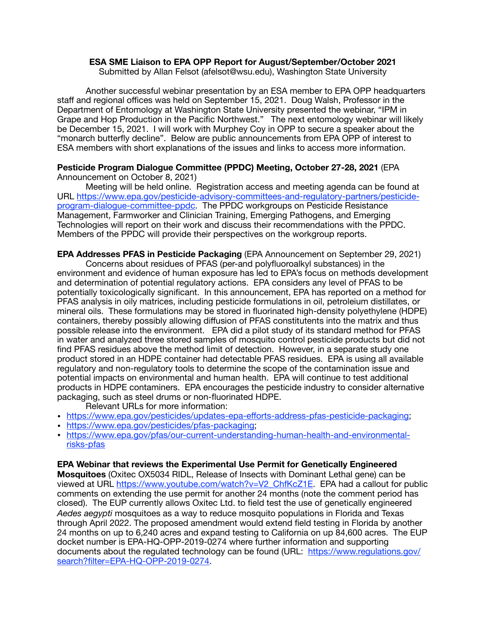## **ESA SME Liaison to EPA OPP Report for August/September/October 2021**

Submitted by Allan Felsot (afelsot@wsu.edu), Washington State University

Another successful webinar presentation by an ESA member to EPA OPP headquarters staff and regional offices was held on September 15, 2021. Doug Walsh, Professor in the Department of Entomology at Washington State University presented the webinar, "IPM in Grape and Hop Production in the Pacific Northwest." The next entomology webinar will likely be December 15, 2021. I will work with Murphey Coy in OPP to secure a speaker about the "monarch butterfly decline". Below are public announcements from EPA OPP of interest to ESA members with short explanations of the issues and links to access more information.

## **Pesticide Program Dialogue Committee (PPDC) Meeting, October 27-28, 2021** (EPA Announcement on October 8, 2021)

Meeting will be held online. Registration access and meeting agenda can be found at URL [https://www.epa.gov/pesticide-advisory-committees-and-regulatory-partners/pesticide](https://www.epa.gov/pesticide-advisory-committees-and-regulatory-partners/pesticide-program-dialogue-committee-ppdc)[program-dialogue-committee-ppdc. The PPDC workgroups on Pesticide Resistance](https://www.epa.gov/pesticide-advisory-committees-and-regulatory-partners/pesticide-program-dialogue-committee-ppdc)  Management, Farmworker and Clinician Training, Emerging Pathogens, and Emerging Technologies will report on their work and discuss their recommendations with the PPDC. Members of the PPDC will provide their perspectives on the workgroup reports.

**EPA Addresses PFAS in Pesticide Packaging** (EPA Announcement on September 29, 2021)

Concerns about residues of PFAS (per-and polyfluoroalkyl substances) in the environment and evidence of human exposure has led to EPA's focus on methods development and determination of potential regulatory actions. EPA considers any level of PFAS to be potentially toxicologically significant. In this announcement, EPA has reported on a method for PFAS analysis in oily matrices, including pesticide formulations in oil, petroleium distillates, or mineral oils. These formulations may be stored in fluorinated high-density polyethylene (HDPE) containers, thereby possibly allowing diffusion of PFAS constitutents into the matrix and thus possible release into the environment. EPA did a pilot study of its standard method for PFAS in water and analyzed three stored samples of mosquito control pesticide products but did not find PFAS residues above the method limit of detection. However, in a separate study one product stored in an HDPE container had detectable PFAS residues. EPA is using all available regulatory and non-regulatory tools to determine the scope of the contamination issue and potential impacts on environmental and human health. EPA will continue to test additional products in HDPE contaminers. EPA encourages the pesticide industry to consider alternative packaging, such as steel drums or non-fluorinated HDPE.

Relevant URLs for more information:

- [https://www.epa.gov/pesticides/updates-epa-e](https://www.epa.gov/pesticides/updates-epa-efforts-address-pfas-pesticide-packaging)fforts-address-pfas-pesticide-packaging;
- <https://www.epa.gov/pesticides/pfas-packaging>;
- [https://www.epa.gov/pfas/our-current-understanding-human-health-and-environmental](https://www.epa.gov/pfas/our-current-understanding-human-health-and-environmental-risks-pfas)[risks-pfas](https://www.epa.gov/pfas/our-current-understanding-human-health-and-environmental-risks-pfas)

## **EPA Webinar that reviews the Experimental Use Permit for Genetically Engineered**

**Mosquitoes** (Oxitec OX5034 RIDL, Release of Insects with Dominant Lethal gene) can be viewed at URL [https://www.youtube.com/watch?v=V2\\_ChfKcZ1E](https://www.youtube.com/watch?v=V2_ChfKcZ1E). EPA had a callout for public comments on extending the use permit for another 24 months (note the comment period has closed). The EUP currently allows Oxitec Ltd. to field test the use of genetically engineered *Aedes aegypti* mosquitoes as a way to reduce mosquito populations in Florida and Texas through April 2022. The proposed amendment would extend field testing in Florida by another 24 months on up to 6,240 acres and expand testing to California on up 84,600 acres. The EUP docket number is EPA-HQ-OPP-2019-0274 where further information and supporting documents about the regulated technology can be found (URL: [https://www.regulations.gov/](https://www.regulations.gov/search?filter=EPA-HQ-OPP-2019-0274) [search?filter=EPA-HQ-OPP-2019-0274.](https://www.regulations.gov/search?filter=EPA-HQ-OPP-2019-0274)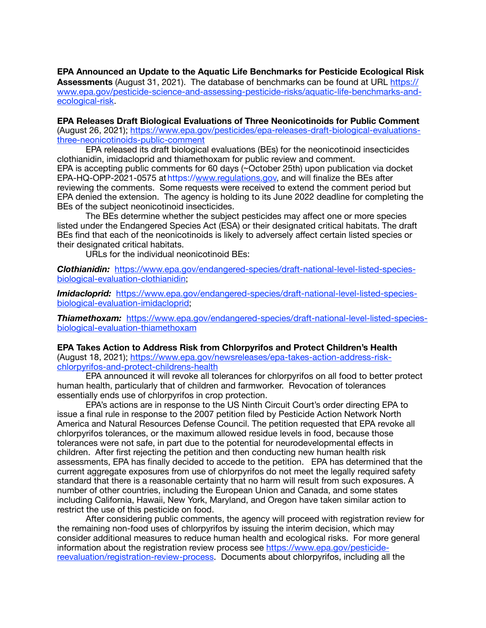**EPA Announced an Update to the Aquatic Life Benchmarks for Pesticide Ecological Risk Assessments** (August 31, 2021). The database of benchmarks can be found at URL [https://](https://www.epa.gov/pesticide-science-and-assessing-pesticide-risks/aquatic-life-benchmarks-and-ecological-risk) [www.epa.gov/pesticide-science-and-assessing-pesticide-risks/aquatic-life-benchmarks-and](https://www.epa.gov/pesticide-science-and-assessing-pesticide-risks/aquatic-life-benchmarks-and-ecological-risk)[ecological-risk.](https://www.epa.gov/pesticide-science-and-assessing-pesticide-risks/aquatic-life-benchmarks-and-ecological-risk)

**EPA Releases Draft Biological Evaluations of Three Neonicotinoids for Public Comment**  [\(August 26, 2021\); https://www.epa.gov/pesticides/epa-releases-draft-biological-evaluations](https://www.epa.gov/pesticides/epa-releases-draft-biological-evaluations-three-neonicotinoids-public-comment)[three-neonicotinoids-public-comment](https://www.epa.gov/pesticides/epa-releases-draft-biological-evaluations-three-neonicotinoids-public-comment)

EPA released its draft biological evaluations (BEs) for the neonicotinoid insecticides clothianidin, imidacloprid and thiamethoxam for public review and comment. EPA is accepting public comments for 60 days (~October 25th) upon publication via docket EPA-HQ-OPP-2021-0575 at https://[www.regulations.gov,](http://www.regulations.gov) and will finalize the BEs after reviewing the comments. Some requests were received to extend the comment period but EPA denied the extension. The agency is holding to its June 2022 deadline for completing the BEs of the subject neonicotinoid insecticides.

The BEs determine whether the subject pesticides may affect one or more species listed under the Endangered Species Act (ESA) or their designated critical habitats. The draft BEs find that each of the neonicotinoids is likely to adversely affect certain listed species or their designated critical habitats.

URLs for the individual neonicotinoid BEs:

*Clothianidin:* [https://www.epa.gov/endangered-species/draft-national-level-listed-species](https://www.epa.gov/endangered-species/draft-national-level-listed-species-biological-evaluation-clothianidin)[biological-evaluation-clothianidin;](https://www.epa.gov/endangered-species/draft-national-level-listed-species-biological-evaluation-clothianidin)

*Imidacloprid:* [https://www.epa.gov/endangered-species/draft-national-level-listed-species](https://www.epa.gov/endangered-species/draft-national-level-listed-species-biological-evaluation-imidacloprid)[biological-evaluation-imidacloprid](https://www.epa.gov/endangered-species/draft-national-level-listed-species-biological-evaluation-imidacloprid);

*Thiamethoxam:* [https://www.epa.gov/endangered-species/draft-national-level-listed-species](https://www.epa.gov/endangered-species/draft-national-level-listed-species-biological-evaluation-thiamethoxam)[biological-evaluation-thiamethoxam](https://www.epa.gov/endangered-species/draft-national-level-listed-species-biological-evaluation-thiamethoxam)

**EPA Takes Action to Address Risk from Chlorpyrifos and Protect Children's Health** [\(August 18, 2021\); https://www.epa.gov/newsreleases/epa-takes-action-address-risk](https://www.epa.gov/newsreleases/epa-takes-action-address-risk-chlorpyrifos-and-protect-childrens-health)[chlorpyrifos-and-protect-childrens-health](https://www.epa.gov/newsreleases/epa-takes-action-address-risk-chlorpyrifos-and-protect-childrens-health)

EPA announced it will revoke all tolerances for chlorpyrifos on all food to better protect human health, particularly that of children and farmworker. Revocation of tolerances essentially ends use of chlorpyrifos in crop protection.

EPA's actions are in response to the US Ninth Circuit Court's order directing EPA to issue a final rule in response to the 2007 petition filed by Pesticide Action Network North America and Natural Resources Defense Council. The petition requested that EPA revoke all chlorpyrifos tolerances, or the maximum allowed residue levels in food, because those tolerances were not safe, in part due to the potential for neurodevelopmental effects in children. After first rejecting the petition and then conducting new human health risk assessments, EPA has finally decided to accede to the petition. EPA has determined that the current aggregate exposures from use of chlorpyrifos do not meet the legally required safety standard that there is a reasonable certainty that no harm will result from such exposures. A number of other countries, including the European Union and Canada, and some states including California, Hawaii, New York, Maryland, and Oregon have taken similar action to restrict the use of this pesticide on food.

After considering public comments, the agency will proceed with registration review for the remaining non-food uses of chlorpyrifos by issuing the interim decision, which may consider additional measures to reduce human health and ecological risks. For more general information about the registration review process see [https://www.epa.gov/pesticide](https://www.epa.gov/pesticide-reevaluation/registration-review-process)[reevaluation/registration-review-process](https://www.epa.gov/pesticide-reevaluation/registration-review-process). Documents about chlorpyrifos, including all the